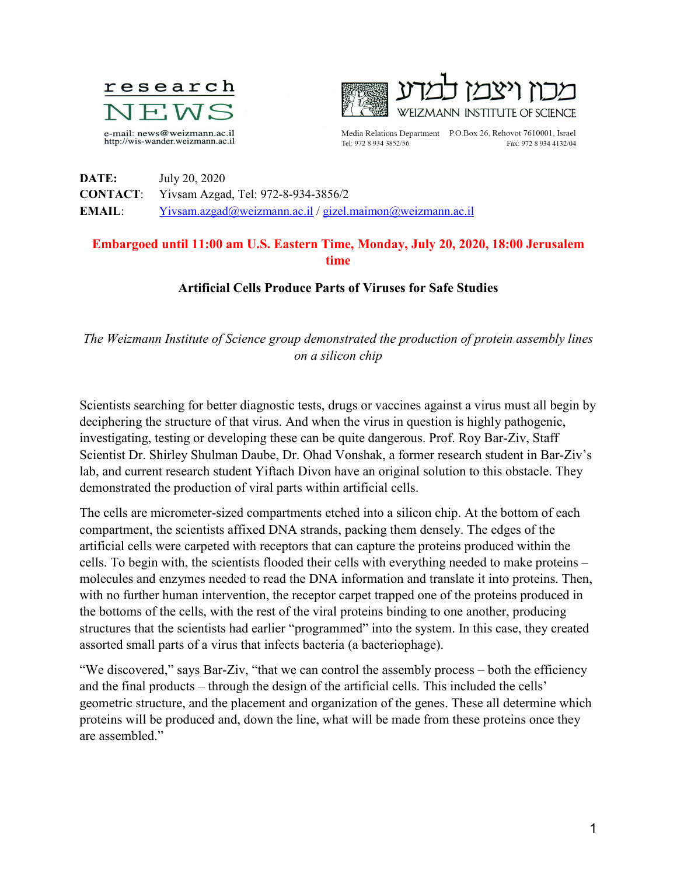



Media Relations Department P.O.Box 26, Rehovot 7610001, Israel Tel: 972 8 934 3852/56 Fax: 972 8 934 4132/04

**DATE:** July 20, 2020 **CONTACT**: Yivsam Azgad, Tel: 972-8-934-3856/2 **EMAIL**: [Yivsam.azgad@weizmann.ac.il](mailto:Yivsam.azgad@weizmann.ac.il) / [gizel.maimon@weizmann.ac.il](mailto:gizel.maimon@weizmann.ac.il)

## **Embargoed until 11:00 am U.S. Eastern Time, Monday, July 20, 2020, 18:00 Jerusalem time**

## **Artificial Cells Produce Parts of Viruses for Safe Studies**

*The Weizmann Institute of Science group demonstrated the production of protein assembly lines on a silicon chip*

Scientists searching for better diagnostic tests, drugs or vaccines against a virus must all begin by deciphering the structure of that virus. And when the virus in question is highly pathogenic, investigating, testing or developing these can be quite dangerous. Prof. Roy Bar-Ziv, Staff Scientist Dr. Shirley Shulman Daube, Dr. Ohad Vonshak, a former research student in Bar-Ziv's lab, and current research student Yiftach Divon have an original solution to this obstacle. They demonstrated the production of viral parts within artificial cells.

The cells are micrometer-sized compartments etched into a silicon chip. At the bottom of each compartment, the scientists affixed DNA strands, packing them densely. The edges of the artificial cells were carpeted with receptors that can capture the proteins produced within the cells. To begin with, the scientists flooded their cells with everything needed to make proteins – molecules and enzymes needed to read the DNA information and translate it into proteins. Then, with no further human intervention, the receptor carpet trapped one of the proteins produced in the bottoms of the cells, with the rest of the viral proteins binding to one another, producing structures that the scientists had earlier "programmed" into the system. In this case, they created assorted small parts of a virus that infects bacteria (a bacteriophage).

"We discovered," says Bar-Ziv, "that we can control the assembly process – both the efficiency and the final products – through the design of the artificial cells. This included the cells' geometric structure, and the placement and organization of the genes. These all determine which proteins will be produced and, down the line, what will be made from these proteins once they are assembled."